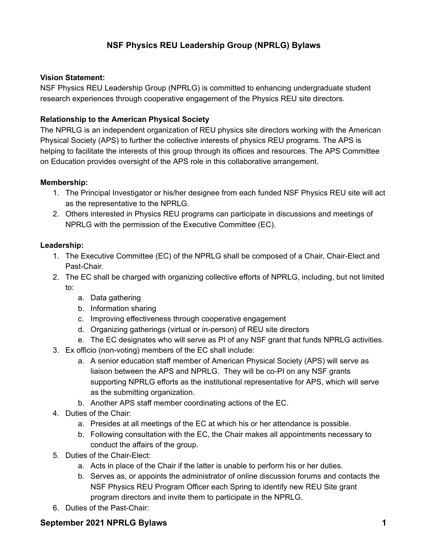# NSF Physics REU Leadership Group (NPRLG) Bylaws

#### Vision Statement:

NSF Physics REU Leadership Group (NPRLG) is committed to enhancing undergraduate student research experiences through cooperative engagement of the Physics REU site directors.

## Relationship to the American Physical Society

The NPRLG is an independent organization of REU physics site directors working with the American Physical Society (APS) to further the collective interests of physics REU programs. The APS is helping to facilitate the interests of this group through its offices and resources. The APS Committee on Education provides oversight of the APS role in this collaborative arrangement.

#### Membership:

- 1. The Principal Investigator or his/her designee from each funded NSF Physics REU site will act as the representative to the NPRLG.
- 2. Others interested in Physics REU programs can participate in discussions and meetings of NPRLG with the permission of the Executive Committee (EC).

#### Leadership:

- 1. The Executive Committee (EC) of the NPRLG shall be composed of a Chair, Chair-Elect and Past-Chair.
- 2. The EC shall be charged with organizing collective efforts of NPRLG, including, but not limited to:
	- a. Data gathering
	- b. Information sharing
	- c. Improving effectiveness through cooperative engagement
	- d. Organizing gatherings (virtual or in-person) of REU site directors
	- e. The EC designates who will serve as PI of any NSF grant that funds NPRLG activities.
- 3. Ex officio (non-voting) members of the EC shall include:
	- a. A senior education staff member of American Physical Society (APS) will serve as liaison between the APS and NPRLG. They will be co-PI on any NSF grants supporting NPRLG efforts as the institutional representative for APS, which will serve as the submitting organization.
	- b. Another APS staff member coordinating actions of the EC.
- 4. Duties of the Chair:
	- a. Presides at all meetings of the EC at which his or her attendance is possible.
	- b. Following consultation with the EC, the Chair makes all appointments necessary to conduct the affairs of the group.
- 5. Duties of the Chair-Elect:
	- a. Acts in place of the Chair if the latter is unable to perform his or her duties.
	- b. Serves as, or appoints the administrator of online discussion forums and contacts the NSF Physics REU Program Officer each Spring to identify new REU Site grant program directors and invite them to participate in the NPRLG.
- 6. Duties of the Past-Chair:

## **Septem**ber 20**21** NPRLG Bylaws 1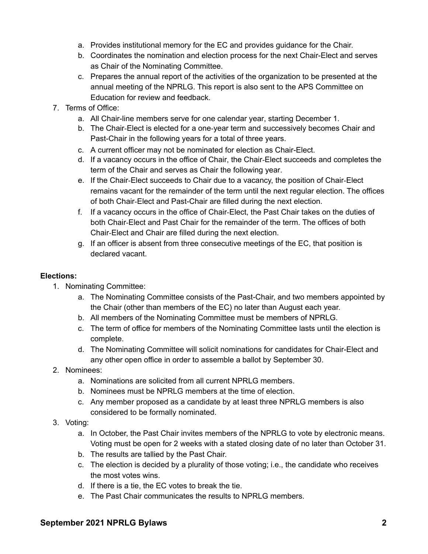- a. Provides institutional memory for the EC and provides guidance for the Chair.
- b. Coordinates the nomination and election process for the next Chair-Elect and serves as Chair of the Nominating Committee.
- c. Prepares the annual report of the activities of the organization to be presented at the annual meeting of the NPRLG. This report is also sent to the APS Committee on Education for review and feedback.
- 7. Terms of Office:
	- a. All Chair-line members serve for one calendar year, starting December 1.
	- b. The Chair‐Elect is elected for a one‐year term and successively becomes Chair and Past-Chair in the following years for a total of three years.
	- c. A current officer may not be nominated for election as Chair-Elect.
	- d. If a vacancy occurs in the office of Chair, the Chair‐Elect succeeds and completes the term of the Chair and serves as Chair the following year.
	- e. If the Chair‐Elect succeeds to Chair due to a vacancy, the position of Chair‐Elect remains vacant for the remainder of the term until the next regular election. The offices of both Chair‐Elect and Past-Chair are filled during the next election.
	- f. If a vacancy occurs in the office of Chair‐Elect, the Past Chair takes on the duties of both Chair‐Elect and Past Chair for the remainder of the term. The offices of both Chair‐Elect and Chair are filled during the next election.
	- g. If an officer is absent from three consecutive meetings of the EC, that position is declared vacant.

## Elections:

- 1. Nominating Committee:
	- a. The Nominating Committee consists of the Past-Chair, and two members appointed by the Chair (other than members of the EC) no later than August each year.
	- b. All members of the Nominating Committee must be members of NPRLG.
	- c. The term of office for members of the Nominating Committee lasts until the election is complete.
	- d. The Nominating Committee will solicit nominations for candidates for Chair-Elect and any other open office in order to assemble a ballot by September 30.
- 2. Nominees:
	- a. Nominations are solicited from all current NPRLG members.
	- b. Nominees must be NPRLG members at the time of election.
	- c. Any member proposed as a candidate by at least three NPRLG members is also considered to be formally nominated.
- 3. Voting:
	- a. In October, the Past Chair invites members of the NPRLG to vote by electronic means. Voting must be open for 2 weeks with a stated closing date of no later than October 31.
	- b. The results are tallied by the Past Chair.
	- c. The election is decided by a plurality of those voting; i.e., the candidate who receives the most votes wins.
	- d. If there is a tie, the EC votes to break the tie.
	- e. The Past Chair communicates the results to NPRLG members.

#### **Septem**ber 20**21** NPRLG Bylaws 2